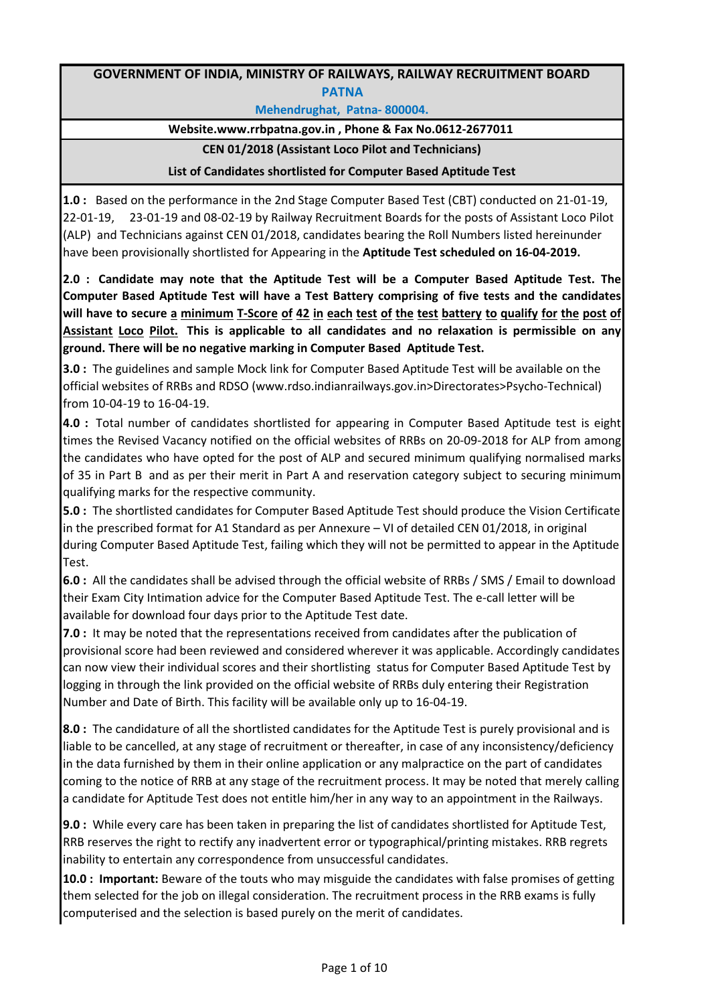## **GOVERNMENT OF INDIA, MINISTRY OF RAILWAYS, RAILWAY RECRUITMENT BOARD PATNA**

**Mehendrughat, Patna- 800004.** 

## **Website.www.rrbpatna.gov.in , Phone & Fax No.0612-2677011**

## **CEN 01/2018 (Assistant Loco Pilot and Technicians)**

## **List of Candidates shortlisted for Computer Based Aptitude Test**

**1.0 :** Based on the performance in the 2nd Stage Computer Based Test (CBT) conducted on 21-01-19, 22-01-19, 23-01-19 and 08-02-19 by Railway Recruitment Boards for the posts of Assistant Loco Pilot (ALP) and Technicians against CEN 01/2018, candidates bearing the Roll Numbers listed hereinunder have been provisionally shortlisted for Appearing in the **Aptitude Test scheduled on 16-04-2019.**

**2.0 : Candidate may note that the Aptitude Test will be a Computer Based Aptitude Test. The Computer Based Aptitude Test will have a Test Battery comprising of five tests and the candidates** will have to secure a minimum T-Score of 42 in each test of the test battery to qualify for the post of **Assistant Loco Pilot. This is applicable to all candidates and no relaxation is permissible on any ground. There will be no negative marking in Computer Based Aptitude Test.** 

**3.0 :** The guidelines and sample Mock link for Computer Based Aptitude Test will be available on the official websites of RRBs and RDSO (www.rdso.indianrailways.gov.in>Directorates>Psycho-Technical) from 10-04-19 to 16-04-19.

**4.0 :** Total number of candidates shortlisted for appearing in Computer Based Aptitude test is eight times the Revised Vacancy notified on the official websites of RRBs on 20-09-2018 for ALP from among the candidates who have opted for the post of ALP and secured minimum qualifying normalised marks of 35 in Part B and as per their merit in Part A and reservation category subject to securing minimum qualifying marks for the respective community.

**5.0 :** The shortlisted candidates for Computer Based Aptitude Test should produce the Vision Certificate in the prescribed format for A1 Standard as per Annexure – VI of detailed CEN 01/2018, in original during Computer Based Aptitude Test, failing which they will not be permitted to appear in the Aptitude Test.

**6.0 :** All the candidates shall be advised through the official website of RRBs / SMS / Email to download their Exam City Intimation advice for the Computer Based Aptitude Test. The e-call letter will be available for download four days prior to the Aptitude Test date.

**7.0 :** It may be noted that the representations received from candidates after the publication of provisional score had been reviewed and considered wherever it was applicable. Accordingly candidates can now view their individual scores and their shortlisting status for Computer Based Aptitude Test by logging in through the link provided on the official website of RRBs duly entering their Registration Number and Date of Birth. This facility will be available only up to 16-04-19.

**8.0 :** The candidature of all the shortlisted candidates for the Aptitude Test is purely provisional and is liable to be cancelled, at any stage of recruitment or thereafter, in case of any inconsistency/deficiency in the data furnished by them in their online application or any malpractice on the part of candidates coming to the notice of RRB at any stage of the recruitment process. It may be noted that merely calling a candidate for Aptitude Test does not entitle him/her in any way to an appointment in the Railways.

**9.0 :** While every care has been taken in preparing the list of candidates shortlisted for Aptitude Test, RRB reserves the right to rectify any inadvertent error or typographical/printing mistakes. RRB regrets inability to entertain any correspondence from unsuccessful candidates.

**10.0 : Important:** Beware of the touts who may misguide the candidates with false promises of getting them selected for the job on illegal consideration. The recruitment process in the RRB exams is fully computerised and the selection is based purely on the merit of candidates.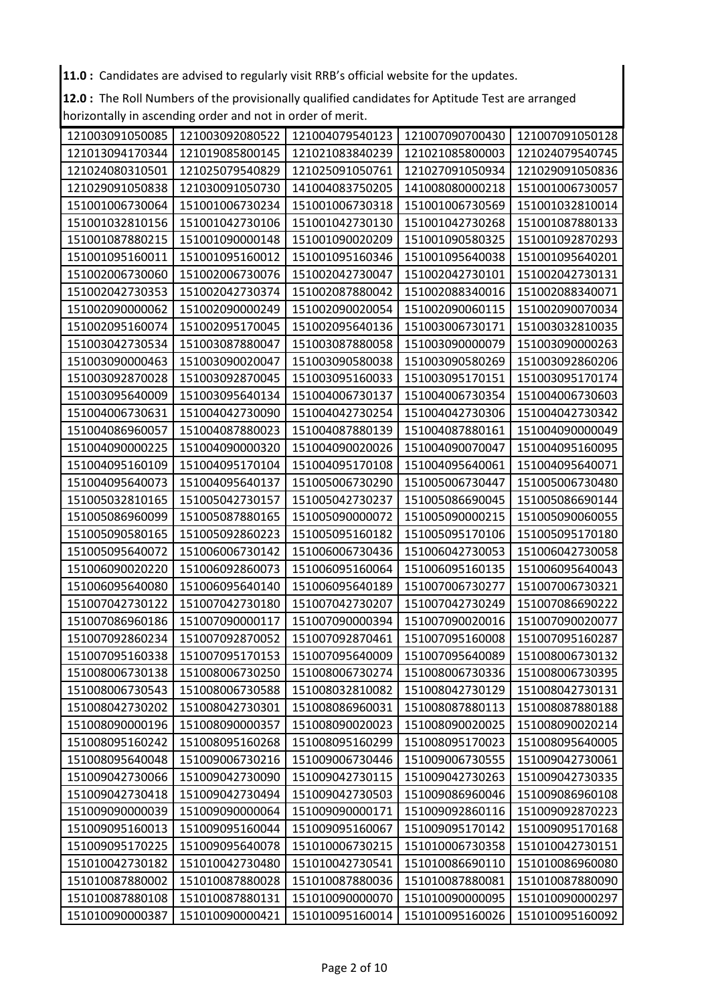**11.0 :** Candidates are advised to regularly visit RRB's official website for the updates.

**12.0 :** The Roll Numbers of the provisionally qualified candidates for Aptitude Test are arranged horizontally in ascending order and not in order of merit.

| 121003091050085 | 121003092080522 | 121004079540123 | 121007090700430 | 121007091050128 |
|-----------------|-----------------|-----------------|-----------------|-----------------|
| 121013094170344 | 121019085800145 | 121021083840239 | 121021085800003 | 121024079540745 |
| 121024080310501 | 121025079540829 | 121025091050761 | 121027091050934 | 121029091050836 |
| 121029091050838 | 121030091050730 | 141004083750205 | 141008080000218 | 151001006730057 |
| 151001006730064 | 151001006730234 | 151001006730318 | 151001006730569 | 151001032810014 |
| 151001032810156 | 151001042730106 | 151001042730130 | 151001042730268 | 151001087880133 |
| 151001087880215 | 151001090000148 | 151001090020209 | 151001090580325 | 151001092870293 |
| 151001095160011 | 151001095160012 | 151001095160346 | 151001095640038 | 151001095640201 |
| 151002006730060 | 151002006730076 | 151002042730047 | 151002042730101 | 151002042730131 |
| 151002042730353 | 151002042730374 | 151002087880042 | 151002088340016 | 151002088340071 |
| 151002090000062 | 151002090000249 | 151002090020054 | 151002090060115 | 151002090070034 |
| 151002095160074 | 151002095170045 | 151002095640136 | 151003006730171 | 151003032810035 |
| 151003042730534 | 151003087880047 | 151003087880058 | 151003090000079 | 151003090000263 |
| 151003090000463 | 151003090020047 | 151003090580038 | 151003090580269 | 151003092860206 |
| 151003092870028 | 151003092870045 | 151003095160033 | 151003095170151 | 151003095170174 |
| 151003095640009 | 151003095640134 | 151004006730137 | 151004006730354 | 151004006730603 |
| 151004006730631 | 151004042730090 | 151004042730254 | 151004042730306 | 151004042730342 |
| 151004086960057 | 151004087880023 | 151004087880139 | 151004087880161 | 151004090000049 |
| 151004090000225 | 151004090000320 | 151004090020026 | 151004090070047 | 151004095160095 |
| 151004095160109 | 151004095170104 | 151004095170108 | 151004095640061 | 151004095640071 |
| 151004095640073 | 151004095640137 | 151005006730290 | 151005006730447 | 151005006730480 |
| 151005032810165 | 151005042730157 | 151005042730237 | 151005086690045 | 151005086690144 |
| 151005086960099 | 151005087880165 | 151005090000072 | 151005090000215 | 151005090060055 |
| 151005090580165 | 151005092860223 | 151005095160182 | 151005095170106 | 151005095170180 |
| 151005095640072 | 151006006730142 | 151006006730436 | 151006042730053 | 151006042730058 |
| 151006090020220 | 151006092860073 | 151006095160064 | 151006095160135 | 151006095640043 |
| 151006095640080 | 151006095640140 | 151006095640189 | 151007006730277 | 151007006730321 |
| 151007042730122 | 151007042730180 | 151007042730207 | 151007042730249 | 151007086690222 |
| 151007086960186 | 151007090000117 | 151007090000394 | 151007090020016 | 151007090020077 |
| 151007092860234 | 151007092870052 | 151007092870461 | 151007095160008 | 151007095160287 |
| 151007095160338 | 151007095170153 | 151007095640009 | 151007095640089 | 151008006730132 |
| 151008006730138 | 151008006730250 | 151008006730274 | 151008006730336 | 151008006730395 |
|                 |                 |                 |                 |                 |
| 151008006730543 | 151008006730588 | 151008032810082 | 151008042730129 | 151008042730131 |
| 151008042730202 | 151008042730301 | 151008086960031 | 151008087880113 | 151008087880188 |
| 151008090000196 | 151008090000357 | 151008090020023 | 151008090020025 | 151008090020214 |
| 151008095160242 | 151008095160268 | 151008095160299 | 151008095170023 | 151008095640005 |
| 151008095640048 | 151009006730216 | 151009006730446 | 151009006730555 | 151009042730061 |
| 151009042730066 | 151009042730090 | 151009042730115 | 151009042730263 | 151009042730335 |
| 151009042730418 | 151009042730494 | 151009042730503 | 151009086960046 | 151009086960108 |
| 151009090000039 | 151009090000064 | 151009090000171 | 151009092860116 | 151009092870223 |
| 151009095160013 | 151009095160044 | 151009095160067 | 151009095170142 | 151009095170168 |
| 151009095170225 | 151009095640078 | 151010006730215 | 151010006730358 | 151010042730151 |
| 151010042730182 | 151010042730480 | 151010042730541 | 151010086690110 | 151010086960080 |
| 151010087880002 | 151010087880028 | 151010087880036 | 151010087880081 | 151010087880090 |
| 151010087880108 | 151010087880131 | 151010090000070 | 151010090000095 | 151010090000297 |
| 151010090000387 | 151010090000421 | 151010095160014 | 151010095160026 | 151010095160092 |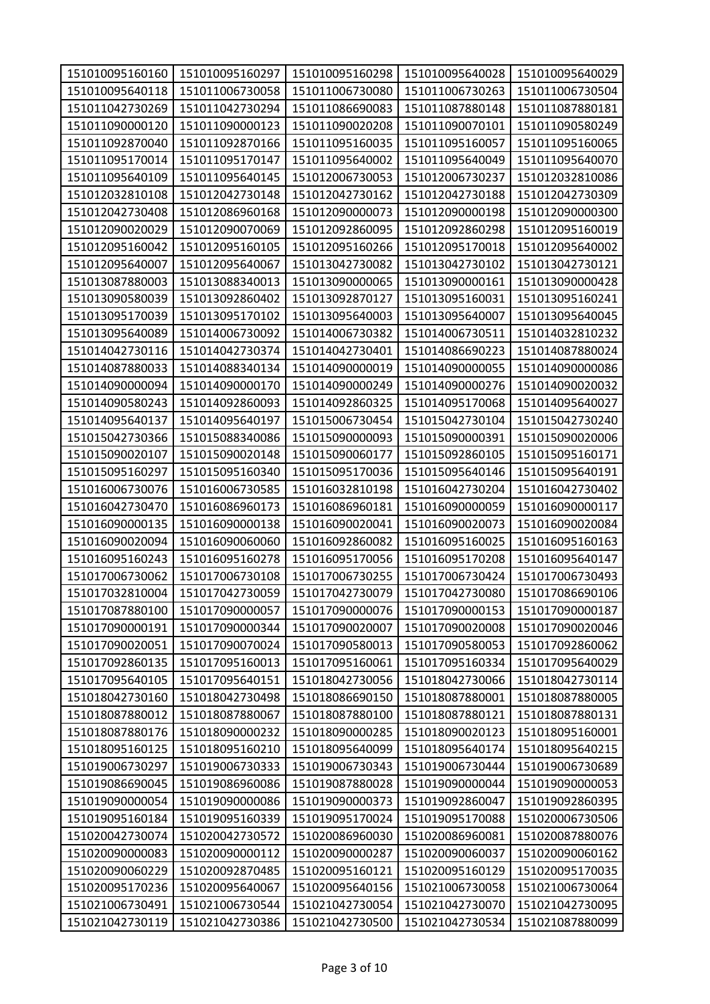| 151010095160160 | 151010095160297 | 151010095160298 | 151010095640028 | 151010095640029 |
|-----------------|-----------------|-----------------|-----------------|-----------------|
| 151010095640118 | 151011006730058 | 151011006730080 | 151011006730263 | 151011006730504 |
| 151011042730269 | 151011042730294 | 151011086690083 | 151011087880148 | 151011087880181 |
| 151011090000120 | 151011090000123 | 151011090020208 | 151011090070101 | 151011090580249 |
| 151011092870040 | 151011092870166 | 151011095160035 | 151011095160057 | 151011095160065 |
| 151011095170014 | 151011095170147 | 151011095640002 | 151011095640049 | 151011095640070 |
| 151011095640109 | 151011095640145 | 151012006730053 | 151012006730237 | 151012032810086 |
| 151012032810108 | 151012042730148 | 151012042730162 | 151012042730188 | 151012042730309 |
| 151012042730408 | 151012086960168 | 151012090000073 | 151012090000198 | 151012090000300 |
| 151012090020029 | 151012090070069 | 151012092860095 | 151012092860298 | 151012095160019 |
| 151012095160042 | 151012095160105 | 151012095160266 | 151012095170018 | 151012095640002 |
| 151012095640007 | 151012095640067 | 151013042730082 | 151013042730102 | 151013042730121 |
| 151013087880003 | 151013088340013 | 151013090000065 | 151013090000161 | 151013090000428 |
| 151013090580039 | 151013092860402 | 151013092870127 | 151013095160031 | 151013095160241 |
| 151013095170039 | 151013095170102 | 151013095640003 | 151013095640007 | 151013095640045 |
| 151013095640089 | 151014006730092 | 151014006730382 | 151014006730511 | 151014032810232 |
| 151014042730116 | 151014042730374 | 151014042730401 | 151014086690223 | 151014087880024 |
| 151014087880033 | 151014088340134 | 151014090000019 | 151014090000055 | 151014090000086 |
| 151014090000094 | 151014090000170 | 151014090000249 | 151014090000276 | 151014090020032 |
| 151014090580243 | 151014092860093 | 151014092860325 | 151014095170068 | 151014095640027 |
| 151014095640137 | 151014095640197 | 151015006730454 | 151015042730104 | 151015042730240 |
| 151015042730366 | 151015088340086 | 151015090000093 | 151015090000391 | 151015090020006 |
| 151015090020107 | 151015090020148 | 151015090060177 | 151015092860105 | 151015095160171 |
| 151015095160297 | 151015095160340 | 151015095170036 | 151015095640146 | 151015095640191 |
| 151016006730076 | 151016006730585 | 151016032810198 | 151016042730204 | 151016042730402 |
| 151016042730470 | 151016086960173 | 151016086960181 | 151016090000059 | 151016090000117 |
| 151016090000135 | 151016090000138 | 151016090020041 | 151016090020073 | 151016090020084 |
| 151016090020094 | 151016090060060 | 151016092860082 | 151016095160025 | 151016095160163 |
| 151016095160243 | 151016095160278 | 151016095170056 | 151016095170208 | 151016095640147 |
| 151017006730062 | 151017006730108 | 151017006730255 | 151017006730424 | 151017006730493 |
| 151017032810004 | 151017042730059 | 151017042730079 | 151017042730080 | 151017086690106 |
| 151017087880100 | 151017090000057 | 151017090000076 | 151017090000153 | 151017090000187 |
| 151017090000191 | 151017090000344 | 151017090020007 | 151017090020008 | 151017090020046 |
| 151017090020051 | 151017090070024 | 151017090580013 | 151017090580053 | 151017092860062 |
| 151017092860135 | 151017095160013 | 151017095160061 | 151017095160334 | 151017095640029 |
| 151017095640105 | 151017095640151 | 151018042730056 | 151018042730066 | 151018042730114 |
| 151018042730160 | 151018042730498 | 151018086690150 | 151018087880001 | 151018087880005 |
| 151018087880012 | 151018087880067 | 151018087880100 | 151018087880121 | 151018087880131 |
| 151018087880176 | 151018090000232 | 151018090000285 | 151018090020123 | 151018095160001 |
| 151018095160125 | 151018095160210 | 151018095640099 | 151018095640174 | 151018095640215 |
| 151019006730297 | 151019006730333 | 151019006730343 | 151019006730444 | 151019006730689 |
| 151019086690045 | 151019086960086 | 151019087880028 | 151019090000044 | 151019090000053 |
| 151019090000054 | 151019090000086 | 151019090000373 | 151019092860047 | 151019092860395 |
| 151019095160184 | 151019095160339 | 151019095170024 | 151019095170088 | 151020006730506 |
| 151020042730074 | 151020042730572 | 151020086960030 | 151020086960081 | 151020087880076 |
| 151020090000083 | 151020090000112 | 151020090000287 | 151020090060037 | 151020090060162 |
| 151020090060229 | 151020092870485 | 151020095160121 | 151020095160129 | 151020095170035 |
| 151020095170236 | 151020095640067 | 151020095640156 | 151021006730058 | 151021006730064 |
| 151021006730491 | 151021006730544 | 151021042730054 | 151021042730070 | 151021042730095 |
| 151021042730119 | 151021042730386 | 151021042730500 | 151021042730534 | 151021087880099 |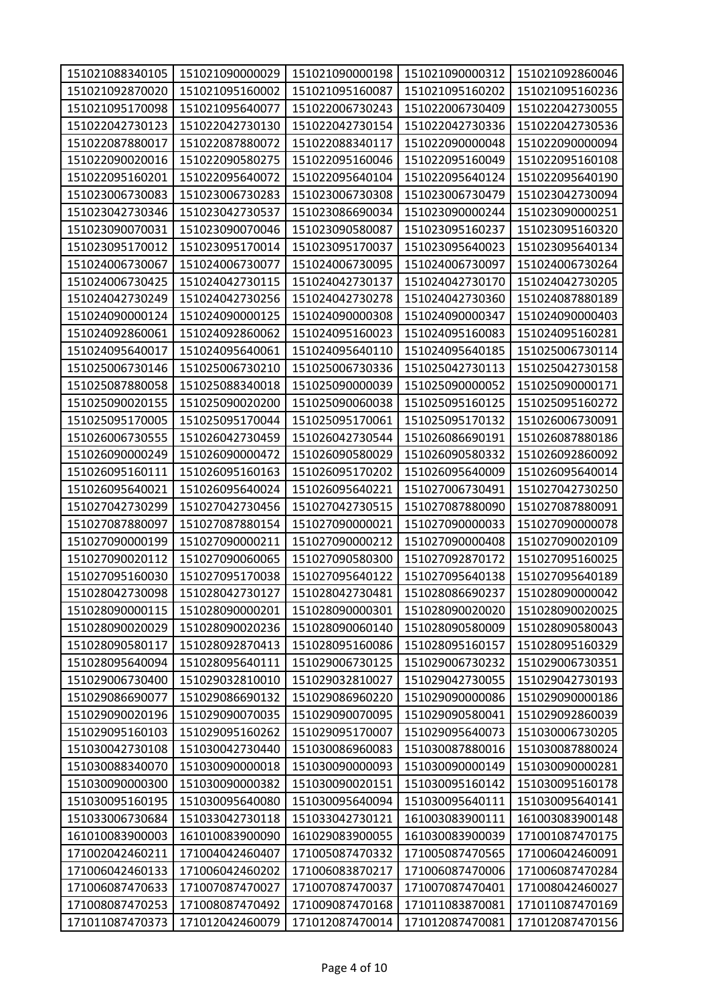| 151021088340105 | 151021090000029 | 151021090000198 | 151021090000312 | 151021092860046 |
|-----------------|-----------------|-----------------|-----------------|-----------------|
| 151021092870020 | 151021095160002 | 151021095160087 | 151021095160202 | 151021095160236 |
| 151021095170098 | 151021095640077 | 151022006730243 | 151022006730409 | 151022042730055 |
| 151022042730123 | 151022042730130 | 151022042730154 | 151022042730336 | 151022042730536 |
| 151022087880017 | 151022087880072 | 151022088340117 | 151022090000048 | 151022090000094 |
| 151022090020016 | 151022090580275 | 151022095160046 | 151022095160049 | 151022095160108 |
| 151022095160201 | 151022095640072 | 151022095640104 | 151022095640124 | 151022095640190 |
| 151023006730083 | 151023006730283 | 151023006730308 | 151023006730479 | 151023042730094 |
| 151023042730346 | 151023042730537 | 151023086690034 | 151023090000244 | 151023090000251 |
| 151023090070031 | 151023090070046 | 151023090580087 | 151023095160237 | 151023095160320 |
| 151023095170012 | 151023095170014 | 151023095170037 | 151023095640023 | 151023095640134 |
| 151024006730067 | 151024006730077 | 151024006730095 | 151024006730097 | 151024006730264 |
| 151024006730425 | 151024042730115 | 151024042730137 | 151024042730170 | 151024042730205 |
| 151024042730249 | 151024042730256 | 151024042730278 | 151024042730360 | 151024087880189 |
| 151024090000124 | 151024090000125 | 151024090000308 | 151024090000347 | 151024090000403 |
| 151024092860061 | 151024092860062 | 151024095160023 | 151024095160083 | 151024095160281 |
| 151024095640017 | 151024095640061 | 151024095640110 | 151024095640185 | 151025006730114 |
| 151025006730146 | 151025006730210 | 151025006730336 | 151025042730113 | 151025042730158 |
| 151025087880058 | 151025088340018 | 151025090000039 | 151025090000052 | 151025090000171 |
| 151025090020155 | 151025090020200 | 151025090060038 | 151025095160125 | 151025095160272 |
| 151025095170005 | 151025095170044 | 151025095170061 | 151025095170132 | 151026006730091 |
| 151026006730555 | 151026042730459 | 151026042730544 | 151026086690191 | 151026087880186 |
| 151026090000249 | 151026090000472 | 151026090580029 | 151026090580332 | 151026092860092 |
| 151026095160111 | 151026095160163 | 151026095170202 | 151026095640009 | 151026095640014 |
| 151026095640021 | 151026095640024 | 151026095640221 | 151027006730491 | 151027042730250 |
| 151027042730299 | 151027042730456 | 151027042730515 | 151027087880090 | 151027087880091 |
| 151027087880097 | 151027087880154 | 151027090000021 | 151027090000033 | 151027090000078 |
| 151027090000199 | 151027090000211 | 151027090000212 | 151027090000408 | 151027090020109 |
| 151027090020112 | 151027090060065 | 151027090580300 | 151027092870172 | 151027095160025 |
| 151027095160030 | 151027095170038 | 151027095640122 | 151027095640138 | 151027095640189 |
| 151028042730098 | 151028042730127 | 151028042730481 | 151028086690237 | 151028090000042 |
| 151028090000115 | 151028090000201 | 151028090000301 | 151028090020020 | 151028090020025 |
| 151028090020029 | 151028090020236 | 151028090060140 | 151028090580009 | 151028090580043 |
| 151028090580117 | 151028092870413 | 151028095160086 | 151028095160157 | 151028095160329 |
| 151028095640094 | 151028095640111 | 151029006730125 | 151029006730232 | 151029006730351 |
| 151029006730400 | 151029032810010 | 151029032810027 | 151029042730055 | 151029042730193 |
| 151029086690077 | 151029086690132 | 151029086960220 | 151029090000086 | 151029090000186 |
| 151029090020196 | 151029090070035 | 151029090070095 | 151029090580041 | 151029092860039 |
| 151029095160103 | 151029095160262 | 151029095170007 | 151029095640073 | 151030006730205 |
| 151030042730108 | 151030042730440 | 151030086960083 | 151030087880016 | 151030087880024 |
| 151030088340070 | 151030090000018 | 151030090000093 | 151030090000149 | 151030090000281 |
| 151030090000300 | 151030090000382 | 151030090020151 | 151030095160142 | 151030095160178 |
| 151030095160195 | 151030095640080 | 151030095640094 | 151030095640111 | 151030095640141 |
| 151033006730684 | 151033042730118 | 151033042730121 | 161003083900111 | 161003083900148 |
| 161010083900003 | 161010083900090 | 161029083900055 | 161030083900039 | 171001087470175 |
| 171002042460211 | 171004042460407 | 171005087470332 | 171005087470565 | 171006042460091 |
| 171006042460133 | 171006042460202 | 171006083870217 | 171006087470006 | 171006087470284 |
| 171006087470633 | 171007087470027 | 171007087470037 | 171007087470401 | 171008042460027 |
| 171008087470253 | 171008087470492 | 171009087470168 | 171011083870081 | 171011087470169 |
| 171011087470373 | 171012042460079 | 171012087470014 | 171012087470081 | 171012087470156 |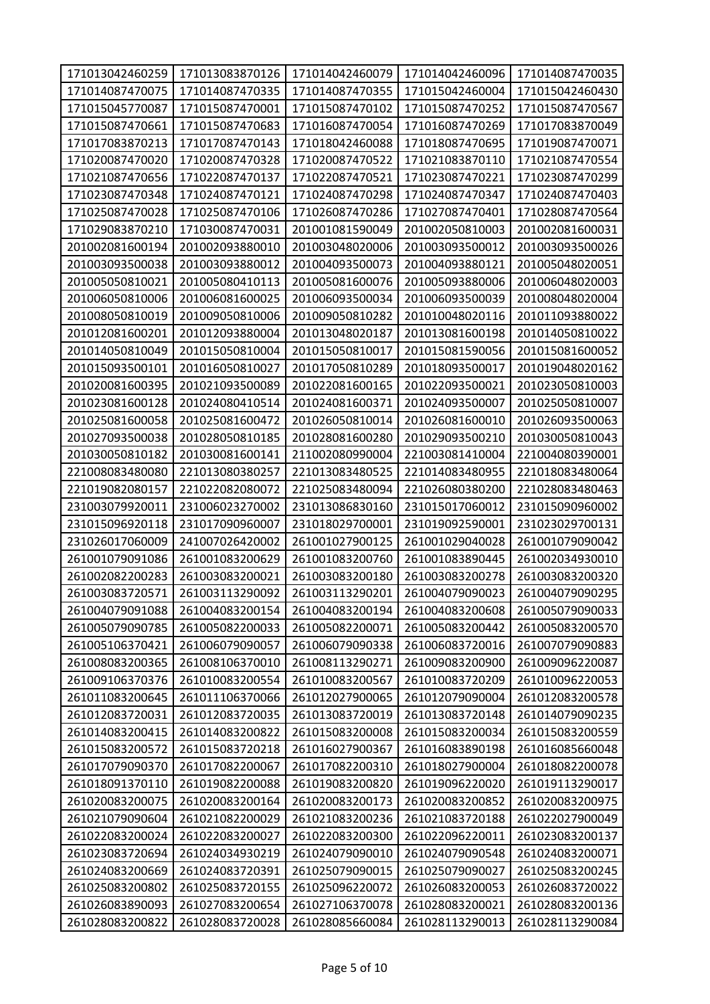| 171013042460259 | 171013083870126 | 171014042460079 | 171014042460096 | 171014087470035 |
|-----------------|-----------------|-----------------|-----------------|-----------------|
| 171014087470075 | 171014087470335 | 171014087470355 | 171015042460004 | 171015042460430 |
| 171015045770087 | 171015087470001 | 171015087470102 | 171015087470252 | 171015087470567 |
| 171015087470661 | 171015087470683 | 171016087470054 | 171016087470269 | 171017083870049 |
| 171017083870213 | 171017087470143 | 171018042460088 | 171018087470695 | 171019087470071 |
| 171020087470020 | 171020087470328 | 171020087470522 | 171021083870110 | 171021087470554 |
| 171021087470656 | 171022087470137 | 171022087470521 | 171023087470221 | 171023087470299 |
| 171023087470348 | 171024087470121 | 171024087470298 | 171024087470347 | 171024087470403 |
| 171025087470028 | 171025087470106 | 171026087470286 | 171027087470401 | 171028087470564 |
| 171029083870210 | 171030087470031 | 201001081590049 | 201002050810003 | 201002081600031 |
| 201002081600194 | 201002093880010 | 201003048020006 | 201003093500012 | 201003093500026 |
| 201003093500038 | 201003093880012 | 201004093500073 | 201004093880121 | 201005048020051 |
| 201005050810021 | 201005080410113 | 201005081600076 | 201005093880006 | 201006048020003 |
| 201006050810006 | 201006081600025 | 201006093500034 | 201006093500039 | 201008048020004 |
| 201008050810019 | 201009050810006 | 201009050810282 | 201010048020116 | 201011093880022 |
| 201012081600201 | 201012093880004 | 201013048020187 | 201013081600198 | 201014050810022 |
| 201014050810049 | 201015050810004 | 201015050810017 | 201015081590056 | 201015081600052 |
| 201015093500101 | 201016050810027 | 201017050810289 | 201018093500017 | 201019048020162 |
| 201020081600395 | 201021093500089 | 201022081600165 | 201022093500021 | 201023050810003 |
| 201023081600128 | 201024080410514 | 201024081600371 | 201024093500007 | 201025050810007 |
| 201025081600058 | 201025081600472 | 201026050810014 | 201026081600010 | 201026093500063 |
| 201027093500038 | 201028050810185 | 201028081600280 | 201029093500210 | 201030050810043 |
| 201030050810182 | 201030081600141 | 211002080990004 | 221003081410004 | 221004080390001 |
| 221008083480080 | 221013080380257 | 221013083480525 | 221014083480955 | 221018083480064 |
| 221019082080157 | 221022082080072 | 221025083480094 | 221026080380200 | 221028083480463 |
| 231003079920011 | 231006023270002 | 231013086830160 | 231015017060012 | 231015090960002 |
| 231015096920118 | 231017090960007 | 231018029700001 | 231019092590001 | 231023029700131 |
| 231026017060009 | 241007026420002 | 261001027900125 | 261001029040028 | 261001079090042 |
| 261001079091086 | 261001083200629 | 261001083200760 | 261001083890445 | 261002034930010 |
| 261002082200283 | 261003083200021 | 261003083200180 | 261003083200278 | 261003083200320 |
| 261003083720571 | 261003113290092 | 261003113290201 | 261004079090023 | 261004079090295 |
| 261004079091088 | 261004083200154 | 261004083200194 | 261004083200608 | 261005079090033 |
| 261005079090785 | 261005082200033 | 261005082200071 | 261005083200442 | 261005083200570 |
| 261005106370421 | 261006079090057 | 261006079090338 | 261006083720016 | 261007079090883 |
| 261008083200365 | 261008106370010 | 261008113290271 | 261009083200900 | 261009096220087 |
| 261009106370376 | 261010083200554 | 261010083200567 | 261010083720209 | 261010096220053 |
| 261011083200645 | 261011106370066 | 261012027900065 | 261012079090004 | 261012083200578 |
| 261012083720031 | 261012083720035 | 261013083720019 | 261013083720148 | 261014079090235 |
| 261014083200415 | 261014083200822 | 261015083200008 | 261015083200034 | 261015083200559 |
| 261015083200572 | 261015083720218 | 261016027900367 | 261016083890198 | 261016085660048 |
| 261017079090370 | 261017082200067 | 261017082200310 | 261018027900004 | 261018082200078 |
| 261018091370110 | 261019082200088 | 261019083200820 | 261019096220020 | 261019113290017 |
| 261020083200075 | 261020083200164 | 261020083200173 | 261020083200852 | 261020083200975 |
| 261021079090604 | 261021082200029 | 261021083200236 | 261021083720188 | 261022027900049 |
| 261022083200024 | 261022083200027 | 261022083200300 | 261022096220011 | 261023083200137 |
| 261023083720694 | 261024034930219 | 261024079090010 | 261024079090548 | 261024083200071 |
| 261024083200669 | 261024083720391 | 261025079090015 | 261025079090027 | 261025083200245 |
| 261025083200802 | 261025083720155 | 261025096220072 | 261026083200053 | 261026083720022 |
| 261026083890093 | 261027083200654 | 261027106370078 | 261028083200021 | 261028083200136 |
| 261028083200822 | 261028083720028 | 261028085660084 | 261028113290013 | 261028113290084 |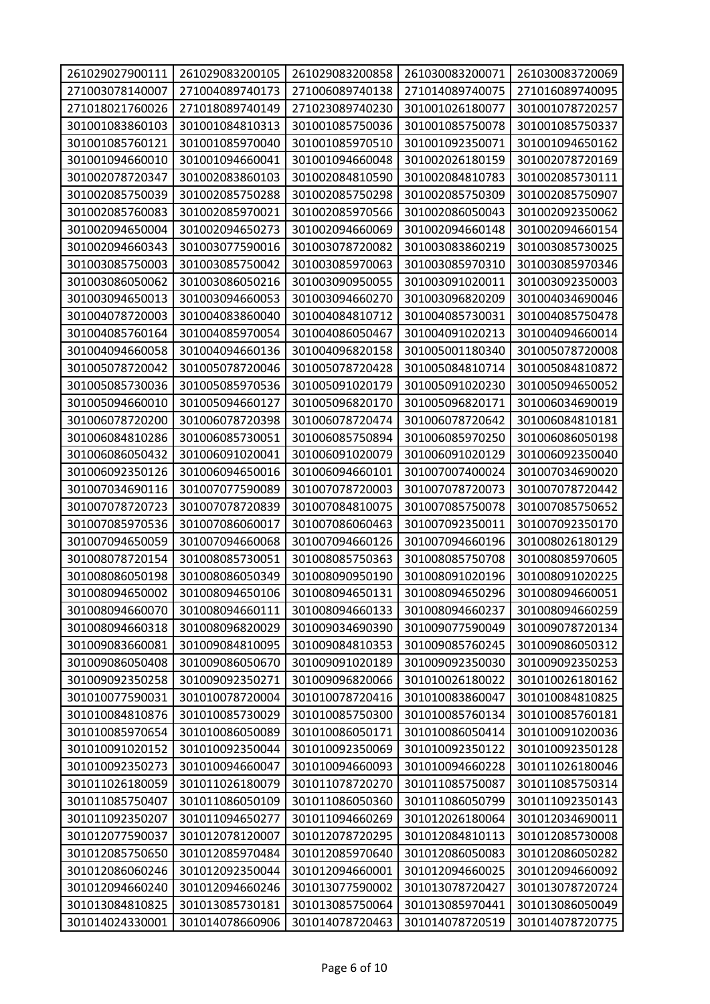| 261029027900111 | 261029083200105 | 261029083200858 | 261030083200071 | 261030083720069 |
|-----------------|-----------------|-----------------|-----------------|-----------------|
| 271003078140007 | 271004089740173 | 271006089740138 | 271014089740075 | 271016089740095 |
| 271018021760026 | 271018089740149 | 271023089740230 | 301001026180077 | 301001078720257 |
| 301001083860103 | 301001084810313 | 301001085750036 | 301001085750078 | 301001085750337 |
| 301001085760121 | 301001085970040 | 301001085970510 | 301001092350071 | 301001094650162 |
| 301001094660010 | 301001094660041 | 301001094660048 | 301002026180159 | 301002078720169 |
| 301002078720347 | 301002083860103 | 301002084810590 | 301002084810783 | 301002085730111 |
| 301002085750039 | 301002085750288 | 301002085750298 | 301002085750309 | 301002085750907 |
| 301002085760083 | 301002085970021 | 301002085970566 | 301002086050043 | 301002092350062 |
| 301002094650004 | 301002094650273 | 301002094660069 | 301002094660148 | 301002094660154 |
| 301002094660343 | 301003077590016 | 301003078720082 | 301003083860219 | 301003085730025 |
| 301003085750003 | 301003085750042 | 301003085970063 | 301003085970310 | 301003085970346 |
| 301003086050062 | 301003086050216 | 301003090950055 | 301003091020011 | 301003092350003 |
| 301003094650013 | 301003094660053 | 301003094660270 | 301003096820209 | 301004034690046 |
| 301004078720003 | 301004083860040 | 301004084810712 | 301004085730031 | 301004085750478 |
| 301004085760164 | 301004085970054 | 301004086050467 | 301004091020213 | 301004094660014 |
| 301004094660058 | 301004094660136 | 301004096820158 | 301005001180340 | 301005078720008 |
| 301005078720042 | 301005078720046 | 301005078720428 | 301005084810714 | 301005084810872 |
| 301005085730036 | 301005085970536 | 301005091020179 | 301005091020230 | 301005094650052 |
| 301005094660010 | 301005094660127 | 301005096820170 | 301005096820171 | 301006034690019 |
| 301006078720200 | 301006078720398 | 301006078720474 | 301006078720642 | 301006084810181 |
| 301006084810286 | 301006085730051 | 301006085750894 | 301006085970250 | 301006086050198 |
| 301006086050432 | 301006091020041 | 301006091020079 | 301006091020129 | 301006092350040 |
| 301006092350126 | 301006094650016 | 301006094660101 | 301007007400024 | 301007034690020 |
| 301007034690116 | 301007077590089 | 301007078720003 | 301007078720073 | 301007078720442 |
| 301007078720723 | 301007078720839 | 301007084810075 | 301007085750078 | 301007085750652 |
| 301007085970536 | 301007086060017 | 301007086060463 | 301007092350011 | 301007092350170 |
| 301007094650059 | 301007094660068 | 301007094660126 | 301007094660196 | 301008026180129 |
| 301008078720154 | 301008085730051 | 301008085750363 | 301008085750708 | 301008085970605 |
| 301008086050198 | 301008086050349 | 301008090950190 | 301008091020196 | 301008091020225 |
| 301008094650002 | 301008094650106 | 301008094650131 | 301008094650296 | 301008094660051 |
| 301008094660070 | 301008094660111 | 301008094660133 | 301008094660237 | 301008094660259 |
| 301008094660318 | 301008096820029 | 301009034690390 | 301009077590049 | 301009078720134 |
| 301009083660081 | 301009084810095 | 301009084810353 | 301009085760245 | 301009086050312 |
| 301009086050408 | 301009086050670 | 301009091020189 | 301009092350030 | 301009092350253 |
| 301009092350258 | 301009092350271 | 301009096820066 | 301010026180022 | 301010026180162 |
| 301010077590031 | 301010078720004 | 301010078720416 | 301010083860047 | 301010084810825 |
| 301010084810876 | 301010085730029 | 301010085750300 | 301010085760134 | 301010085760181 |
| 301010085970654 | 301010086050089 | 301010086050171 | 301010086050414 | 301010091020036 |
| 301010091020152 | 301010092350044 | 301010092350069 | 301010092350122 | 301010092350128 |
| 301010092350273 | 301010094660047 | 301010094660093 | 301010094660228 | 301011026180046 |
| 301011026180059 | 301011026180079 | 301011078720270 | 301011085750087 | 301011085750314 |
| 301011085750407 | 301011086050109 | 301011086050360 | 301011086050799 | 301011092350143 |
| 301011092350207 | 301011094650277 | 301011094660269 | 301012026180064 | 301012034690011 |
| 301012077590037 | 301012078120007 | 301012078720295 | 301012084810113 | 301012085730008 |
| 301012085750650 | 301012085970484 | 301012085970640 | 301012086050083 | 301012086050282 |
| 301012086060246 | 301012092350044 | 301012094660001 | 301012094660025 | 301012094660092 |
| 301012094660240 | 301012094660246 | 301013077590002 | 301013078720427 | 301013078720724 |
| 301013084810825 | 301013085730181 | 301013085750064 | 301013085970441 | 301013086050049 |
| 301014024330001 | 301014078660906 | 301014078720463 | 301014078720519 | 301014078720775 |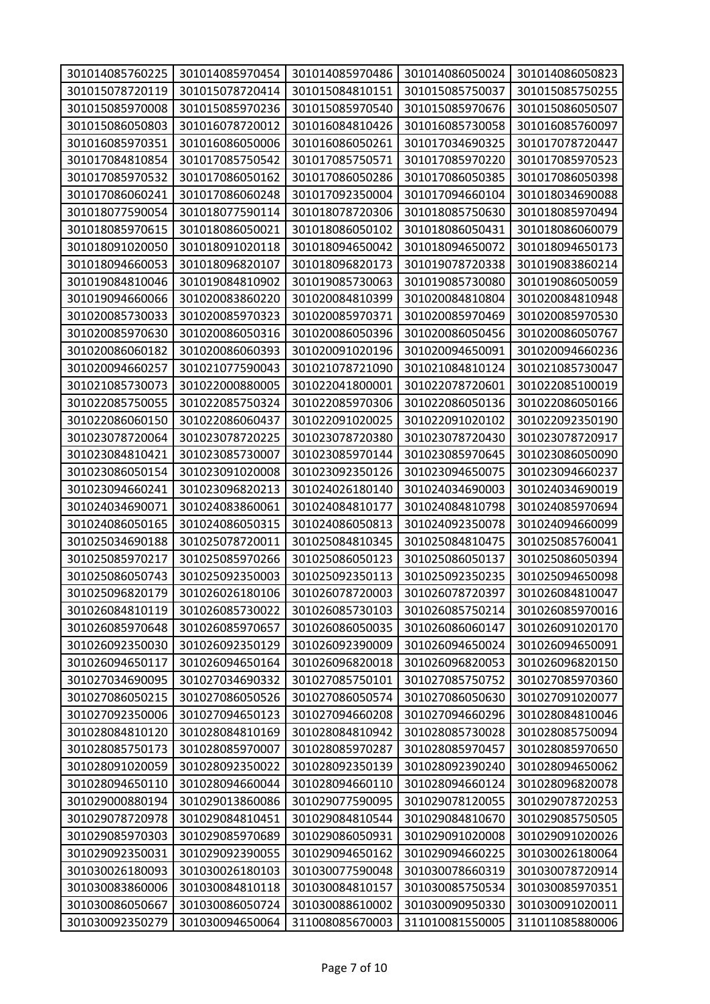| 301014085760225 | 301014085970454                    | 301014085970486 | 301014086050024                    | 301014086050823 |
|-----------------|------------------------------------|-----------------|------------------------------------|-----------------|
| 301015078720119 | 301015078720414                    | 301015084810151 | 301015085750037                    | 301015085750255 |
| 301015085970008 | 301015085970236                    | 301015085970540 | 301015085970676                    | 301015086050507 |
| 301015086050803 | 301016078720012                    | 301016084810426 | 301016085730058                    | 301016085760097 |
| 301016085970351 | 301016086050006                    | 301016086050261 | 301017034690325                    | 301017078720447 |
| 301017084810854 | 301017085750542                    | 301017085750571 | 301017085970220                    | 301017085970523 |
| 301017085970532 | 301017086050162                    | 301017086050286 | 301017086050385                    | 301017086050398 |
| 301017086060241 | 301017086060248                    | 301017092350004 | 301017094660104                    | 301018034690088 |
| 301018077590054 | 301018077590114                    | 301018078720306 | 301018085750630                    | 301018085970494 |
| 301018085970615 | 301018086050021                    | 301018086050102 | 301018086050431                    | 301018086060079 |
| 301018091020050 | 301018091020118                    | 301018094650042 | 301018094650072                    | 301018094650173 |
| 301018094660053 | 301018096820107                    | 301018096820173 | 301019078720338                    | 301019083860214 |
| 301019084810046 | 301019084810902                    | 301019085730063 | 301019085730080                    | 301019086050059 |
| 301019094660066 | 301020083860220                    | 301020084810399 | 301020084810804                    | 301020084810948 |
| 301020085730033 | 301020085970323                    | 301020085970371 | 301020085970469                    | 301020085970530 |
| 301020085970630 | 301020086050316                    | 301020086050396 | 301020086050456                    | 301020086050767 |
| 301020086060182 | 301020086060393                    | 301020091020196 | 301020094650091                    | 301020094660236 |
|                 |                                    |                 |                                    |                 |
| 301020094660257 | 301021077590043                    | 301021078721090 | 301021084810124                    | 301021085730047 |
| 301021085730073 | 301022000880005<br>301022085750324 | 301022041800001 | 301022078720601                    | 301022085100019 |
| 301022085750055 |                                    | 301022085970306 | 301022086050136                    | 301022086050166 |
| 301022086060150 | 301022086060437                    | 301022091020025 | 301022091020102                    | 301022092350190 |
| 301023078720064 | 301023078720225<br>301023085730007 | 301023078720380 | 301023078720430<br>301023085970645 | 301023078720917 |
| 301023084810421 |                                    | 301023085970144 |                                    | 301023086050090 |
| 301023086050154 | 301023091020008                    | 301023092350126 | 301023094650075                    | 301023094660237 |
| 301023094660241 | 301023096820213                    | 301024026180140 | 301024034690003                    | 301024034690019 |
| 301024034690071 | 301024083860061                    | 301024084810177 | 301024084810798                    | 301024085970694 |
| 301024086050165 | 301024086050315                    | 301024086050813 | 301024092350078                    | 301024094660099 |
| 301025034690188 | 301025078720011                    | 301025084810345 | 301025084810475                    | 301025085760041 |
| 301025085970217 | 301025085970266                    | 301025086050123 | 301025086050137                    | 301025086050394 |
| 301025086050743 | 301025092350003                    | 301025092350113 | 301025092350235                    | 301025094650098 |
| 301025096820179 | 301026026180106                    | 301026078720003 | 301026078720397                    | 301026084810047 |
| 301026084810119 | 301026085730022                    | 301026085730103 | 301026085750214                    | 301026085970016 |
| 301026085970648 | 301026085970657                    | 301026086050035 | 301026086060147                    | 301026091020170 |
| 301026092350030 | 301026092350129                    | 301026092390009 | 301026094650024                    | 301026094650091 |
| 301026094650117 | 301026094650164                    | 301026096820018 | 301026096820053                    | 301026096820150 |
| 301027034690095 | 301027034690332                    | 301027085750101 | 301027085750752                    | 301027085970360 |
| 301027086050215 | 301027086050526                    | 301027086050574 | 301027086050630                    | 301027091020077 |
| 301027092350006 | 301027094650123                    | 301027094660208 | 301027094660296                    | 301028084810046 |
| 301028084810120 | 301028084810169                    | 301028084810942 | 301028085730028                    | 301028085750094 |
| 301028085750173 | 301028085970007                    | 301028085970287 | 301028085970457                    | 301028085970650 |
| 301028091020059 | 301028092350022                    | 301028092350139 | 301028092390240                    | 301028094650062 |
| 301028094650110 | 301028094660044                    | 301028094660110 | 301028094660124                    | 301028096820078 |
| 301029000880194 | 301029013860086                    | 301029077590095 | 301029078120055                    | 301029078720253 |
| 301029078720978 | 301029084810451                    | 301029084810544 | 301029084810670                    | 301029085750505 |
| 301029085970303 | 301029085970689                    | 301029086050931 | 301029091020008                    | 301029091020026 |
| 301029092350031 | 301029092390055                    | 301029094650162 | 301029094660225                    | 301030026180064 |
| 301030026180093 | 301030026180103                    | 301030077590048 | 301030078660319                    | 301030078720914 |
| 301030083860006 | 301030084810118                    | 301030084810157 | 301030085750534                    | 301030085970351 |
| 301030086050667 | 301030086050724                    | 301030088610002 | 301030090950330                    | 301030091020011 |
| 301030092350279 | 301030094650064                    | 311008085670003 | 311010081550005                    | 311011085880006 |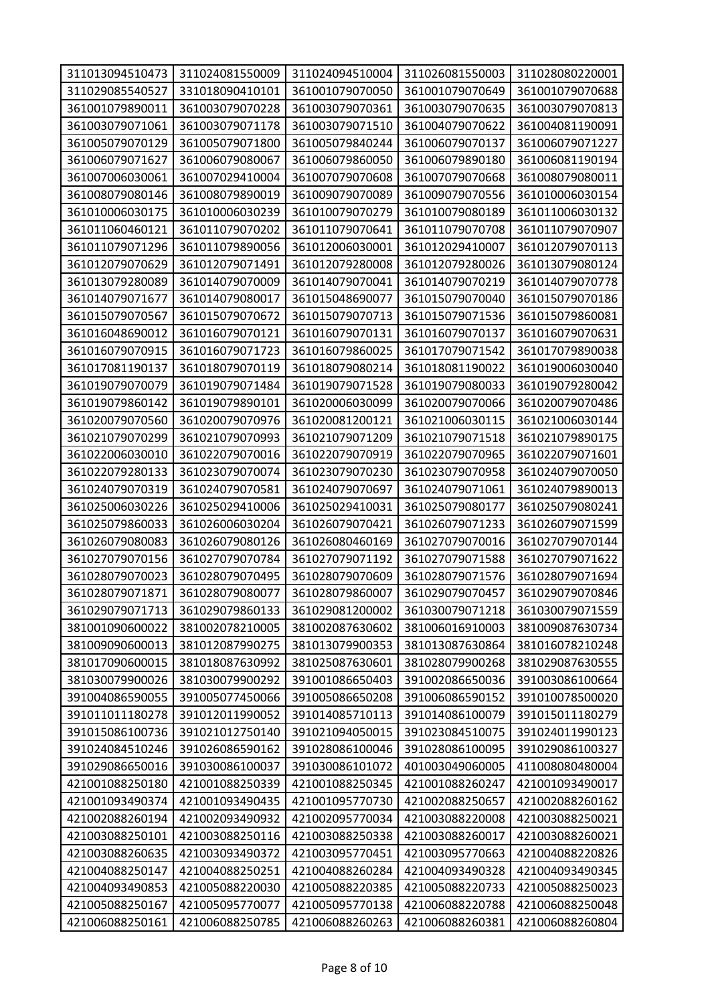| 311013094510473 | 311024081550009 | 311024094510004 | 311026081550003 | 311028080220001 |
|-----------------|-----------------|-----------------|-----------------|-----------------|
| 311029085540527 | 331018090410101 | 361001079070050 | 361001079070649 | 361001079070688 |
| 361001079890011 | 361003079070228 | 361003079070361 | 361003079070635 | 361003079070813 |
| 361003079071061 | 361003079071178 | 361003079071510 | 361004079070622 | 361004081190091 |
| 361005079070129 | 361005079071800 | 361005079840244 | 361006079070137 | 361006079071227 |
| 361006079071627 | 361006079080067 | 361006079860050 | 361006079890180 | 361006081190194 |
| 361007006030061 | 361007029410004 | 361007079070608 | 361007079070668 | 361008079080011 |
| 361008079080146 | 361008079890019 | 361009079070089 | 361009079070556 | 361010006030154 |
| 361010006030175 | 361010006030239 | 361010079070279 | 361010079080189 | 361011006030132 |
| 361011060460121 | 361011079070202 | 361011079070641 | 361011079070708 | 361011079070907 |
| 361011079071296 | 361011079890056 | 361012006030001 | 361012029410007 | 361012079070113 |
| 361012079070629 | 361012079071491 | 361012079280008 | 361012079280026 | 361013079080124 |
| 361013079280089 | 361014079070009 | 361014079070041 | 361014079070219 | 361014079070778 |
| 361014079071677 | 361014079080017 | 361015048690077 | 361015079070040 | 361015079070186 |
| 361015079070567 | 361015079070672 | 361015079070713 | 361015079071536 | 361015079860081 |
| 361016048690012 | 361016079070121 | 361016079070131 | 361016079070137 | 361016079070631 |
| 361016079070915 | 361016079071723 | 361016079860025 | 361017079071542 | 361017079890038 |
| 361017081190137 | 361018079070119 | 361018079080214 | 361018081190022 | 361019006030040 |
| 361019079070079 | 361019079071484 | 361019079071528 | 361019079080033 | 361019079280042 |
| 361019079860142 | 361019079890101 | 361020006030099 | 361020079070066 | 361020079070486 |
| 361020079070560 | 361020079070976 | 361020081200121 | 361021006030115 | 361021006030144 |
| 361021079070299 | 361021079070993 | 361021079071209 | 361021079071518 | 361021079890175 |
| 361022006030010 | 361022079070016 | 361022079070919 | 361022079070965 | 361022079071601 |
| 361022079280133 | 361023079070074 | 361023079070230 | 361023079070958 | 361024079070050 |
| 361024079070319 | 361024079070581 | 361024079070697 | 361024079071061 | 361024079890013 |
| 361025006030226 | 361025029410006 | 361025029410031 | 361025079080177 | 361025079080241 |
| 361025079860033 | 361026006030204 | 361026079070421 | 361026079071233 | 361026079071599 |
| 361026079080083 | 361026079080126 | 361026080460169 | 361027079070016 | 361027079070144 |
| 361027079070156 | 361027079070784 | 361027079071192 | 361027079071588 | 361027079071622 |
| 361028079070023 | 361028079070495 | 361028079070609 | 361028079071576 | 361028079071694 |
| 361028079071871 | 361028079080077 | 361028079860007 | 361029079070457 | 361029079070846 |
| 361029079071713 | 361029079860133 | 361029081200002 | 361030079071218 | 361030079071559 |
| 381001090600022 | 381002078210005 | 381002087630602 | 381006016910003 | 381009087630734 |
| 381009090600013 | 381012087990275 | 381013079900353 | 381013087630864 | 381016078210248 |
| 381017090600015 | 381018087630992 | 381025087630601 | 381028079900268 | 381029087630555 |
| 381030079900026 | 381030079900292 | 391001086650403 | 391002086650036 | 391003086100664 |
| 391004086590055 | 391005077450066 | 391005086650208 | 391006086590152 | 391010078500020 |
| 391011011180278 | 391012011990052 | 391014085710113 | 391014086100079 | 391015011180279 |
| 391015086100736 | 391021012750140 | 391021094050015 | 391023084510075 | 391024011990123 |
| 391024084510246 | 391026086590162 | 391028086100046 | 391028086100095 | 391029086100327 |
| 391029086650016 | 391030086100037 | 391030086101072 | 401003049060005 | 411008080480004 |
| 421001088250180 | 421001088250339 | 421001088250345 | 421001088260247 | 421001093490017 |
| 421001093490374 | 421001093490435 | 421001095770730 | 421002088250657 | 421002088260162 |
| 421002088260194 | 421002093490932 | 421002095770034 | 421003088220008 | 421003088250021 |
| 421003088250101 | 421003088250116 | 421003088250338 | 421003088260017 | 421003088260021 |
| 421003088260635 | 421003093490372 | 421003095770451 | 421003095770663 | 421004088220826 |
| 421004088250147 | 421004088250251 | 421004088260284 | 421004093490328 | 421004093490345 |
| 421004093490853 | 421005088220030 | 421005088220385 | 421005088220733 | 421005088250023 |
| 421005088250167 | 421005095770077 | 421005095770138 | 421006088220788 | 421006088250048 |
| 421006088250161 | 421006088250785 | 421006088260263 | 421006088260381 | 421006088260804 |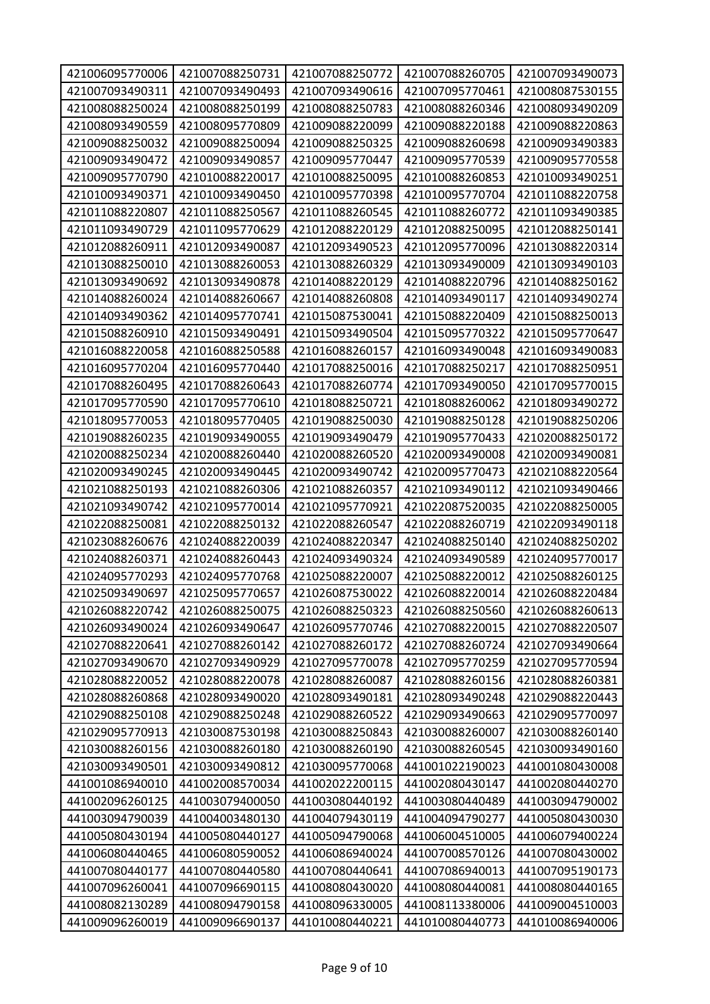| 421006095770006 | 421007088250731 | 421007088250772 | 421007088260705 | 421007093490073 |
|-----------------|-----------------|-----------------|-----------------|-----------------|
| 421007093490311 | 421007093490493 | 421007093490616 | 421007095770461 | 421008087530155 |
| 421008088250024 | 421008088250199 | 421008088250783 | 421008088260346 | 421008093490209 |
| 421008093490559 | 421008095770809 | 421009088220099 | 421009088220188 | 421009088220863 |
| 421009088250032 | 421009088250094 | 421009088250325 | 421009088260698 | 421009093490383 |
| 421009093490472 | 421009093490857 | 421009095770447 | 421009095770539 | 421009095770558 |
| 421009095770790 | 421010088220017 | 421010088250095 | 421010088260853 | 421010093490251 |
| 421010093490371 | 421010093490450 | 421010095770398 | 421010095770704 | 421011088220758 |
| 421011088220807 | 421011088250567 | 421011088260545 | 421011088260772 | 421011093490385 |
| 421011093490729 | 421011095770629 | 421012088220129 | 421012088250095 | 421012088250141 |
| 421012088260911 | 421012093490087 | 421012093490523 | 421012095770096 | 421013088220314 |
| 421013088250010 | 421013088260053 | 421013088260329 | 421013093490009 | 421013093490103 |
| 421013093490692 | 421013093490878 | 421014088220129 | 421014088220796 | 421014088250162 |
| 421014088260024 | 421014088260667 | 421014088260808 | 421014093490117 | 421014093490274 |
| 421014093490362 | 421014095770741 | 421015087530041 | 421015088220409 | 421015088250013 |
| 421015088260910 | 421015093490491 | 421015093490504 | 421015095770322 | 421015095770647 |
| 421016088220058 | 421016088250588 | 421016088260157 | 421016093490048 | 421016093490083 |
| 421016095770204 | 421016095770440 | 421017088250016 | 421017088250217 | 421017088250951 |
| 421017088260495 | 421017088260643 | 421017088260774 | 421017093490050 | 421017095770015 |
| 421017095770590 | 421017095770610 | 421018088250721 | 421018088260062 | 421018093490272 |
| 421018095770053 | 421018095770405 | 421019088250030 | 421019088250128 | 421019088250206 |
| 421019088260235 | 421019093490055 | 421019093490479 | 421019095770433 | 421020088250172 |
| 421020088250234 | 421020088260440 | 421020088260520 | 421020093490008 | 421020093490081 |
| 421020093490245 | 421020093490445 | 421020093490742 | 421020095770473 | 421021088220564 |
| 421021088250193 | 421021088260306 | 421021088260357 | 421021093490112 | 421021093490466 |
| 421021093490742 | 421021095770014 | 421021095770921 | 421022087520035 | 421022088250005 |
| 421022088250081 | 421022088250132 | 421022088260547 | 421022088260719 | 421022093490118 |
| 421023088260676 | 421024088220039 | 421024088220347 | 421024088250140 | 421024088250202 |
| 421024088260371 | 421024088260443 | 421024093490324 | 421024093490589 | 421024095770017 |
| 421024095770293 | 421024095770768 | 421025088220007 | 421025088220012 | 421025088260125 |
| 421025093490697 | 421025095770657 | 421026087530022 | 421026088220014 | 421026088220484 |
| 421026088220742 | 421026088250075 | 421026088250323 | 421026088250560 | 421026088260613 |
| 421026093490024 | 421026093490647 | 421026095770746 | 421027088220015 | 421027088220507 |
| 421027088220641 | 421027088260142 | 421027088260172 | 421027088260724 | 421027093490664 |
| 421027093490670 | 421027093490929 | 421027095770078 | 421027095770259 | 421027095770594 |
| 421028088220052 | 421028088220078 | 421028088260087 | 421028088260156 | 421028088260381 |
| 421028088260868 | 421028093490020 | 421028093490181 | 421028093490248 | 421029088220443 |
| 421029088250108 | 421029088250248 | 421029088260522 | 421029093490663 | 421029095770097 |
| 421029095770913 | 421030087530198 | 421030088250843 | 421030088260007 | 421030088260140 |
| 421030088260156 | 421030088260180 | 421030088260190 | 421030088260545 | 421030093490160 |
| 421030093490501 | 421030093490812 | 421030095770068 | 441001022190023 | 441001080430008 |
| 441001086940010 | 441002008570034 | 441002022200115 | 441002080430147 | 441002080440270 |
| 441002096260125 | 441003079400050 | 441003080440192 | 441003080440489 | 441003094790002 |
| 441003094790039 | 441004003480130 | 441004079430119 | 441004094790277 | 441005080430030 |
| 441005080430194 | 441005080440127 | 441005094790068 | 441006004510005 | 441006079400224 |
| 441006080440465 | 441006080590052 | 441006086940024 | 441007008570126 | 441007080430002 |
| 441007080440177 | 441007080440580 | 441007080440641 | 441007086940013 | 441007095190173 |
| 441007096260041 | 441007096690115 | 441008080430020 | 441008080440081 | 441008080440165 |
| 441008082130289 | 441008094790158 | 441008096330005 | 441008113380006 | 441009004510003 |
| 441009096260019 | 441009096690137 | 441010080440221 | 441010080440773 | 441010086940006 |